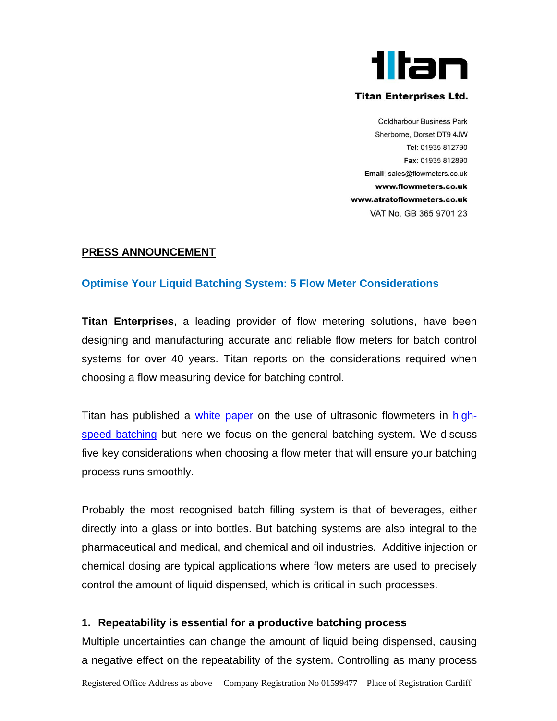

#### **Titan Enterprises Ltd.**

**Coldharbour Business Park** Sherborne, Dorset DT9 4JW Tel: 01935 812790 Fax: 01935 812890 Email: sales@flowmeters.co.uk www.flowmeters.co.uk www.atratoflowmeters.co.uk VAT No. GB 365 9701 23

### **PRESS ANNOUNCEMENT**

#### **Optimise Your Liquid Batching System: 5 Flow Meter Considerations**

**Titan Enterprises**, a leading provider of flow metering solutions, have been designing and manufacturing accurate and reliable flow meters for batch control systems for over 40 years. Titan reports on the considerations required when choosing a flow measuring device for batching control.

Titan has published a [white paper](https://flowmeters.co.uk/wp-content/uploads/2022/01/Titan-Enterprises-High-Speed-Batching-white-paper.pdf) on the use of ultrasonic flowmeters in [high](https://flowmeters.co.uk/flowmeter-solutions-for-high-speed-batch-dosing/)[speed batching](https://flowmeters.co.uk/flowmeter-solutions-for-high-speed-batch-dosing/) but here we focus on the general batching system. We discuss five key considerations when choosing a flow meter that will ensure your batching process runs smoothly.

Probably the most recognised batch filling system is that of beverages, either directly into a glass or into bottles. But batching systems are also integral to the pharmaceutical and medical, and chemical and oil industries. Additive injection or chemical dosing are typical applications where flow meters are used to precisely control the amount of liquid dispensed, which is critical in such processes.

#### **1. Repeatability is essential for a productive batching process**

Multiple uncertainties can change the amount of liquid being dispensed, causing a negative effect on the repeatability of the system. Controlling as many process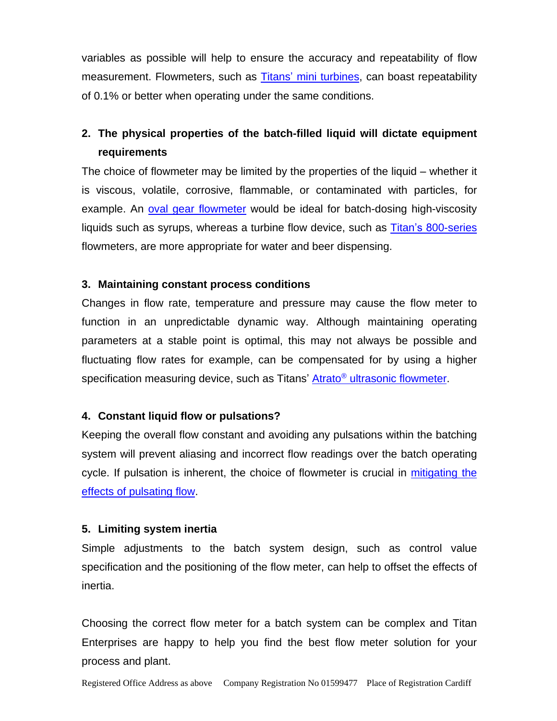variables as possible will help to ensure the accuracy and repeatability of flow measurement. Flowmeters, such as Titans' [mini turbines,](https://flowmeters.co.uk/turbine-flow-meters-titan-800-series-turbine-flow-measurement-ideal-oem-flow-meters/) can boast repeatability of 0.1% or better when operating under the same conditions.

# **2. The physical properties of the batch-filled liquid will dictate equipment requirements**

The choice of flowmeter may be limited by the properties of the liquid – whether it is viscous, volatile, corrosive, flammable, or contaminated with particles, for example. An [oval gear flowmeter](https://flowmeters.co.uk/oval-gear-swept-volume-positive-displacement-flow-meters-overview/) would be ideal for batch-dosing high-viscosity liquids such as syrups, whereas a turbine flow device, such as [Titan's 800-series](https://flowmeters.co.uk/turbine-flow-meters-titan-800-series-turbine-flow-measurement-ideal-oem-flow-meters/) flowmeters, are more appropriate for water and beer dispensing.

## **3. Maintaining constant process conditions**

Changes in flow rate, temperature and pressure may cause the flow meter to function in an unpredictable dynamic way. Although maintaining operating parameters at a stable point is optimal, this may not always be possible and fluctuating flow rates for example, can be compensated for by using a higher specification measuring device, such as Titans' Atrato® ultrasonic [flowmeter.](https://flowmeters.co.uk/atrato-ultrasonic-flowmeters/)

# **4. Constant liquid flow or pulsations?**

Keeping the overall flow constant and avoiding any pulsations within the batching system will prevent aliasing and incorrect flow readings over the batch operating cycle. If pulsation is inherent, the choice of flowmeter is crucial in [mitigating the](https://flowmeters.co.uk/mitigating-the-effects-of-pulsating-flow-in-flow-measurement/)  [effects of pulsating flow.](https://flowmeters.co.uk/mitigating-the-effects-of-pulsating-flow-in-flow-measurement/)

# **5. Limiting system inertia**

Simple adjustments to the batch system design, such as control value specification and the positioning of the flow meter, can help to offset the effects of inertia.

Choosing the correct flow meter for a batch system can be complex and Titan Enterprises are happy to help you find the best flow meter solution for your process and plant.